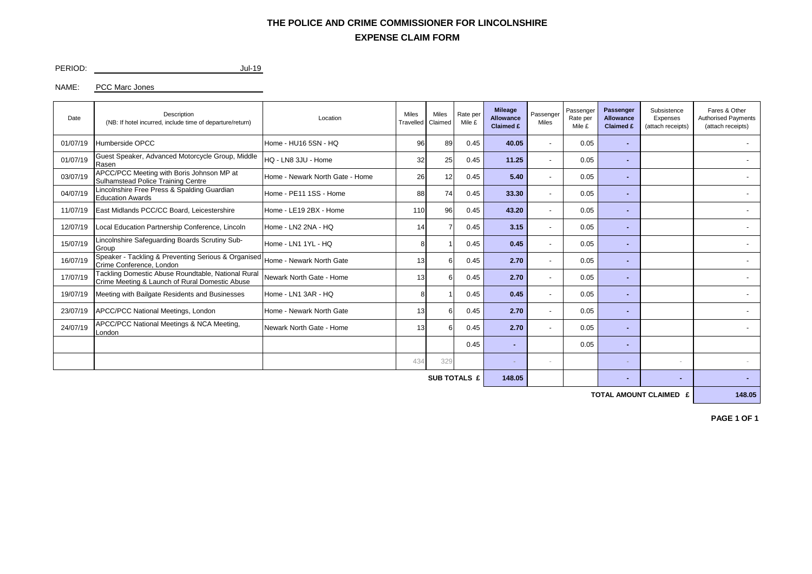## **EXPENSE CLAIM FORM THE POLICE AND CRIME COMMISSIONER FOR LINCOLNSHIRE**

PERIOD: Jul-19

NAME: PCC Marc Jones

| Date                | Description<br>(NB: If hotel incurred, include time of departure/return)                             | Location                        | <b>Miles</b><br>Travelled | <b>Miles</b><br>Claimed | Rate per<br>Mile £ | <b>Mileage</b><br>Allowance<br>Claimed £ | Passenger<br>Miles       | Passenger<br>Rate per<br>Mile £ | Passenger<br>Allowance<br>Claimed £ | Subsistence<br>Expenses<br>(attach receipts) | Fares & Other<br><b>Authorised Payments</b><br>(attach receipts) |
|---------------------|------------------------------------------------------------------------------------------------------|---------------------------------|---------------------------|-------------------------|--------------------|------------------------------------------|--------------------------|---------------------------------|-------------------------------------|----------------------------------------------|------------------------------------------------------------------|
| 01/07/19            | Humberside OPCC                                                                                      | Home - HU16 5SN - HQ            | 96                        | 89                      | 0.45               | 40.05                                    |                          | 0.05                            |                                     |                                              |                                                                  |
| 01/07/19            | Guest Speaker, Advanced Motorcycle Group, Middle<br>Rasen                                            | HQ - LN8 3JU - Home             | 32                        | 25                      | 0.45               | 11.25                                    | $\overline{\phantom{a}}$ | 0.05                            | н.                                  |                                              |                                                                  |
| 03/07/19            | APCC/PCC Meeting with Boris Johnson MP at<br>Sulhamstead Police Training Centre                      | Home - Newark North Gate - Home | 26                        | 12                      | 0.45               | 5.40                                     | $\overline{\phantom{a}}$ | 0.05                            |                                     |                                              |                                                                  |
| 04/07/19            | Lincolnshire Free Press & Spalding Guardian<br><b>Education Awards</b>                               | Home - PE11 1SS - Home          | 88                        | 74                      | 0.45               | 33.30                                    | $\overline{\phantom{a}}$ | 0.05                            |                                     |                                              |                                                                  |
| 11/07/19            | East Midlands PCC/CC Board, Leicestershire                                                           | Home - LE19 2BX - Home          | 110                       | 96                      | 0.45               | 43.20                                    |                          | 0.05                            |                                     |                                              |                                                                  |
| 12/07/19            | Local Education Partnership Conference, Lincoln                                                      | Home - LN2 2NA - HQ             | 14                        |                         | 0.45               | 3.15                                     | ٠                        | 0.05                            |                                     |                                              |                                                                  |
| 15/07/19            | incolnshire Safequarding Boards Scrutiny Sub-<br>Group                                               | Home - LN1 1YL - HQ             | 8                         |                         | 0.45               | 0.45                                     | $\overline{\phantom{a}}$ | 0.05                            |                                     |                                              |                                                                  |
| 16/07/19            | Speaker - Tackling & Preventing Serious & Organised<br>Crime Conference, London                      | Home - Newark North Gate        | 13                        | 6                       | 0.45               | 2.70                                     | $\overline{\phantom{a}}$ | 0.05                            |                                     |                                              |                                                                  |
| 17/07/19            | Tackling Domestic Abuse Roundtable, National Rural<br>Crime Meeting & Launch of Rural Domestic Abuse | Newark North Gate - Home        | 13                        | 6                       | 0.45               | 2.70                                     | $\overline{\phantom{a}}$ | 0.05                            | ۰.                                  |                                              |                                                                  |
| 19/07/19            | Meeting with Bailgate Residents and Businesses                                                       | Home - LN1 3AR - HQ             | 8                         |                         | 0.45               | 0.45                                     |                          | 0.05                            |                                     |                                              |                                                                  |
| 23/07/19            | APCC/PCC National Meetings, London                                                                   | Home - Newark North Gate        | 13                        |                         | 0.45               | 2.70                                     |                          | 0.05                            |                                     |                                              |                                                                  |
| 24/07/19            | APCC/PCC National Meetings & NCA Meeting,<br>London                                                  | Newark North Gate - Home        | 13                        | 6                       | 0.45               | 2.70                                     |                          | 0.05                            |                                     |                                              |                                                                  |
|                     |                                                                                                      |                                 |                           |                         | 0.45               |                                          |                          | 0.05                            |                                     |                                              |                                                                  |
|                     |                                                                                                      |                                 | 434                       | 329                     |                    |                                          | $\sim$                   |                                 |                                     | $\overline{\phantom{a}}$                     |                                                                  |
| <b>SUB TOTALS £</b> |                                                                                                      |                                 |                           |                         |                    |                                          |                          |                                 |                                     | ۰                                            |                                                                  |

**TOTAL AMOUNT CLAIMED £ 148.05**

**PAGE 1 OF 1**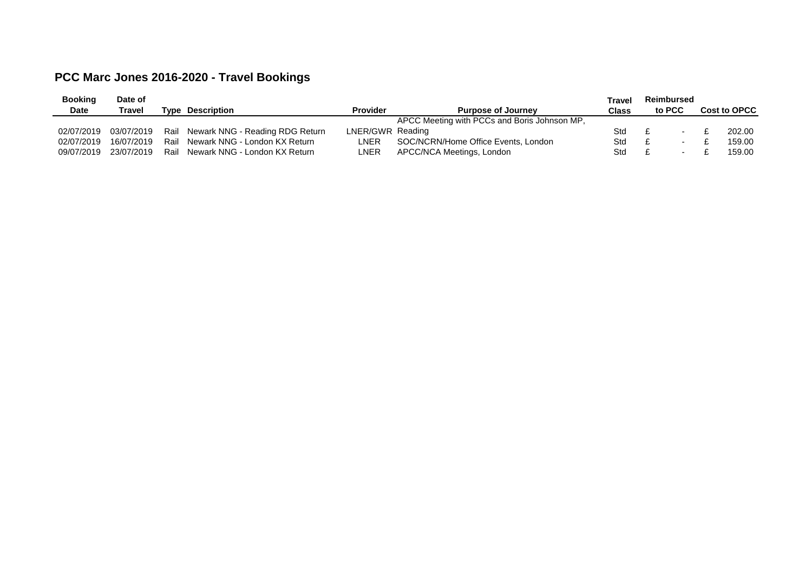## **PCC Marc Jones 2016-2020 - Travel Bookings**

| <b>Booking</b> | Date of       |      |                                 |                  |                                              | Travel       | <b>Reimbursed</b> |  |                     |
|----------------|---------------|------|---------------------------------|------------------|----------------------------------------------|--------------|-------------------|--|---------------------|
| <b>Date</b>    | <b>Travel</b> | Tvpe | Description                     | <b>Provider</b>  | <b>Purpose of Journey</b>                    | <b>Class</b> | to PCC            |  | <b>Cost to OPCC</b> |
|                |               |      |                                 |                  | APCC Meeting with PCCs and Boris Johnson MP, |              |                   |  |                     |
| 02/07/2019     | 03/07/2019    | Rail | Newark NNG - Reading RDG Return | LNER/GWR Reading |                                              | Std          |                   |  | 202.00              |
| 02/07/2019     | 16/07/2019    | Rail | Newark NNG - London KX Return   | LNER             | SOC/NCRN/Home Office Events, London          | Std          |                   |  | 159.00              |
| 09/07/2019     | 23/07/2019    | Rail | Newark NNG - London KX Return   | LNER             | APCC/NCA Meetings, London                    | Std          |                   |  | 159.00              |